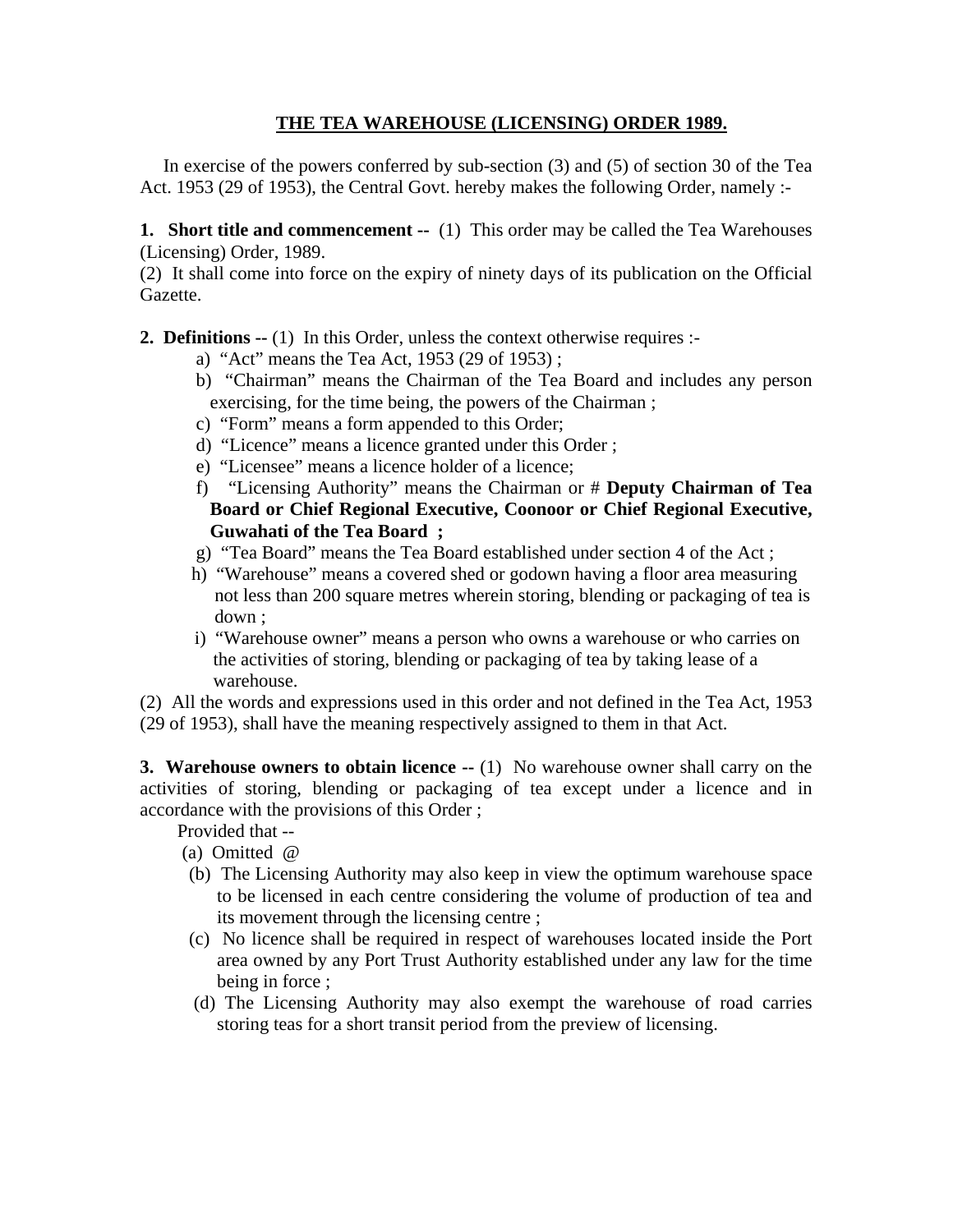# **THE TEA WAREHOUSE (LICENSING) ORDER 1989.**

 In exercise of the powers conferred by sub-section (3) and (5) of section 30 of the Tea Act. 1953 (29 of 1953), the Central Govt. hereby makes the following Order, namely :-

**1. Short title and commencement --** (1) This order may be called the Tea Warehouses (Licensing) Order, 1989.

(2) It shall come into force on the expiry of ninety days of its publication on the Official Gazette.

**2. Definitions --** (1) In this Order, unless the context otherwise requires :-

- a) "Act" means the Tea Act, 1953 (29 of 1953) ;
- b) "Chairman" means the Chairman of the Tea Board and includes any person exercising, for the time being, the powers of the Chairman ;
- c) "Form" means a form appended to this Order;
- d) "Licence" means a licence granted under this Order ;
- e) "Licensee" means a licence holder of a licence;
- f) "Licensing Authority" means the Chairman or # **Deputy Chairman of Tea Board or Chief Regional Executive, Coonoor or Chief Regional Executive, Guwahati of the Tea Board ;**
- g) "Tea Board" means the Tea Board established under section 4 of the Act ;
- h) "Warehouse" means a covered shed or godown having a floor area measuring not less than 200 square metres wherein storing, blending or packaging of tea is down ;
- i) "Warehouse owner" means a person who owns a warehouse or who carries on the activities of storing, blending or packaging of tea by taking lease of a warehouse.

(2) All the words and expressions used in this order and not defined in the Tea Act, 1953 (29 of 1953), shall have the meaning respectively assigned to them in that Act.

**3. Warehouse owners to obtain licence --** (1) No warehouse owner shall carry on the activities of storing, blending or packaging of tea except under a licence and in accordance with the provisions of this Order ;

Provided that --

- (a) Omitted @
- (b) The Licensing Authority may also keep in view the optimum warehouse space to be licensed in each centre considering the volume of production of tea and its movement through the licensing centre ;
- (c) No licence shall be required in respect of warehouses located inside the Port area owned by any Port Trust Authority established under any law for the time being in force ;
- (d) The Licensing Authority may also exempt the warehouse of road carries storing teas for a short transit period from the preview of licensing.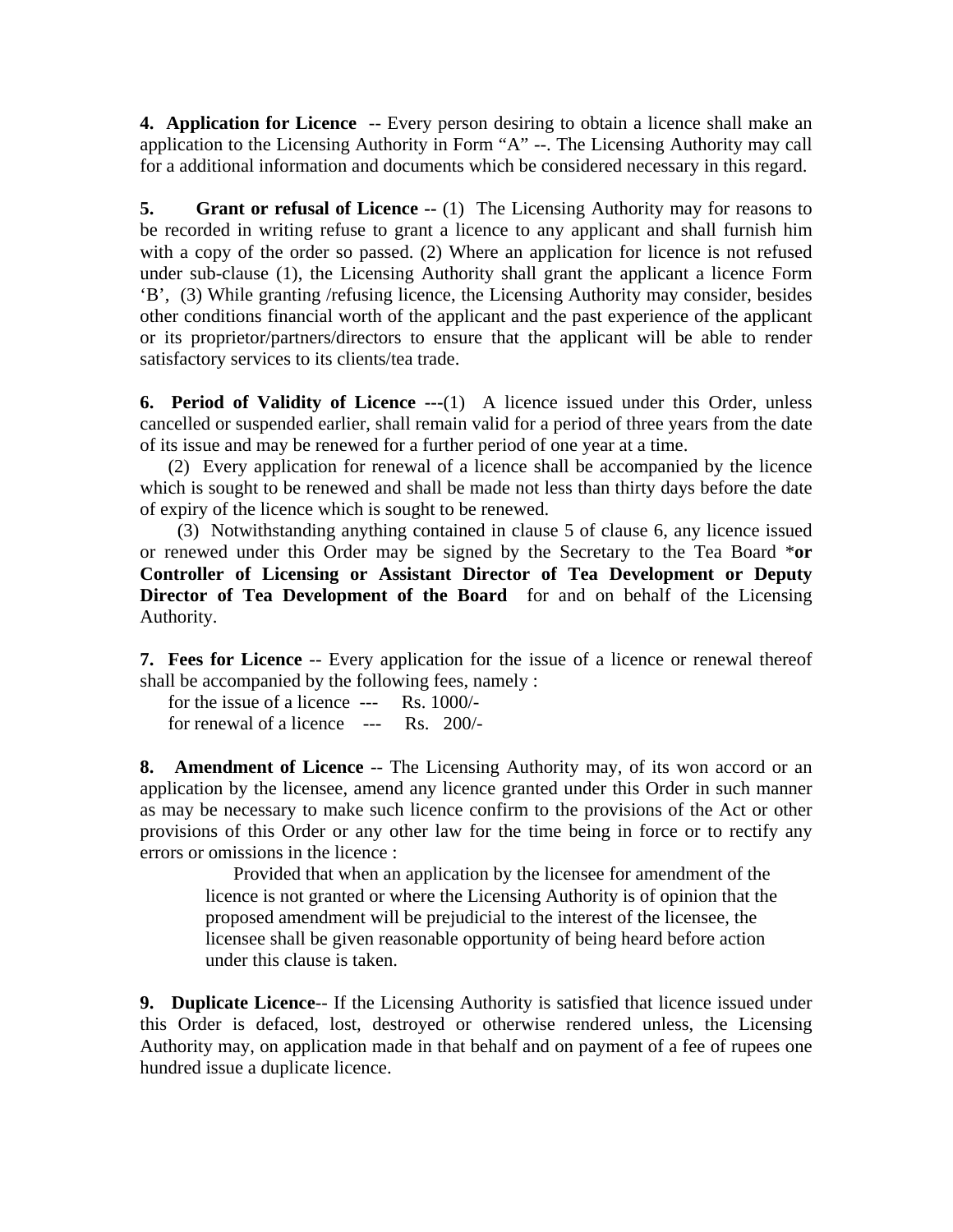**4. Application for Licence** -- Every person desiring to obtain a licence shall make an application to the Licensing Authority in Form "A" --. The Licensing Authority may call for a additional information and documents which be considered necessary in this regard.

**5. Grant or refusal of Licence --** (1) The Licensing Authority may for reasons to be recorded in writing refuse to grant a licence to any applicant and shall furnish him with a copy of the order so passed. (2) Where an application for licence is not refused under sub-clause (1), the Licensing Authority shall grant the applicant a licence Form 'B', (3) While granting /refusing licence, the Licensing Authority may consider, besides other conditions financial worth of the applicant and the past experience of the applicant or its proprietor/partners/directors to ensure that the applicant will be able to render satisfactory services to its clients/tea trade.

**6. Period of Validity of Licence ---**(1) A licence issued under this Order, unless cancelled or suspended earlier, shall remain valid for a period of three years from the date of its issue and may be renewed for a further period of one year at a time.

 (2) Every application for renewal of a licence shall be accompanied by the licence which is sought to be renewed and shall be made not less than thirty days before the date of expiry of the licence which is sought to be renewed.

 (3) Notwithstanding anything contained in clause 5 of clause 6, any licence issued or renewed under this Order may be signed by the Secretary to the Tea Board \***or Controller of Licensing or Assistant Director of Tea Development or Deputy Director of Tea Development of the Board** for and on behalf of the Licensing Authority.

**7. Fees for Licence** -- Every application for the issue of a licence or renewal thereof shall be accompanied by the following fees, namely :

 for the issue of a licence --- Rs. 1000/ for renewal of a licence --- Rs. 200/-

**8. Amendment of Licence** -- The Licensing Authority may, of its won accord or an application by the licensee, amend any licence granted under this Order in such manner as may be necessary to make such licence confirm to the provisions of the Act or other provisions of this Order or any other law for the time being in force or to rectify any errors or omissions in the licence :

 Provided that when an application by the licensee for amendment of the licence is not granted or where the Licensing Authority is of opinion that the proposed amendment will be prejudicial to the interest of the licensee, the licensee shall be given reasonable opportunity of being heard before action under this clause is taken.

**9. Duplicate Licence**-- If the Licensing Authority is satisfied that licence issued under this Order is defaced, lost, destroyed or otherwise rendered unless, the Licensing Authority may, on application made in that behalf and on payment of a fee of rupees one hundred issue a duplicate licence.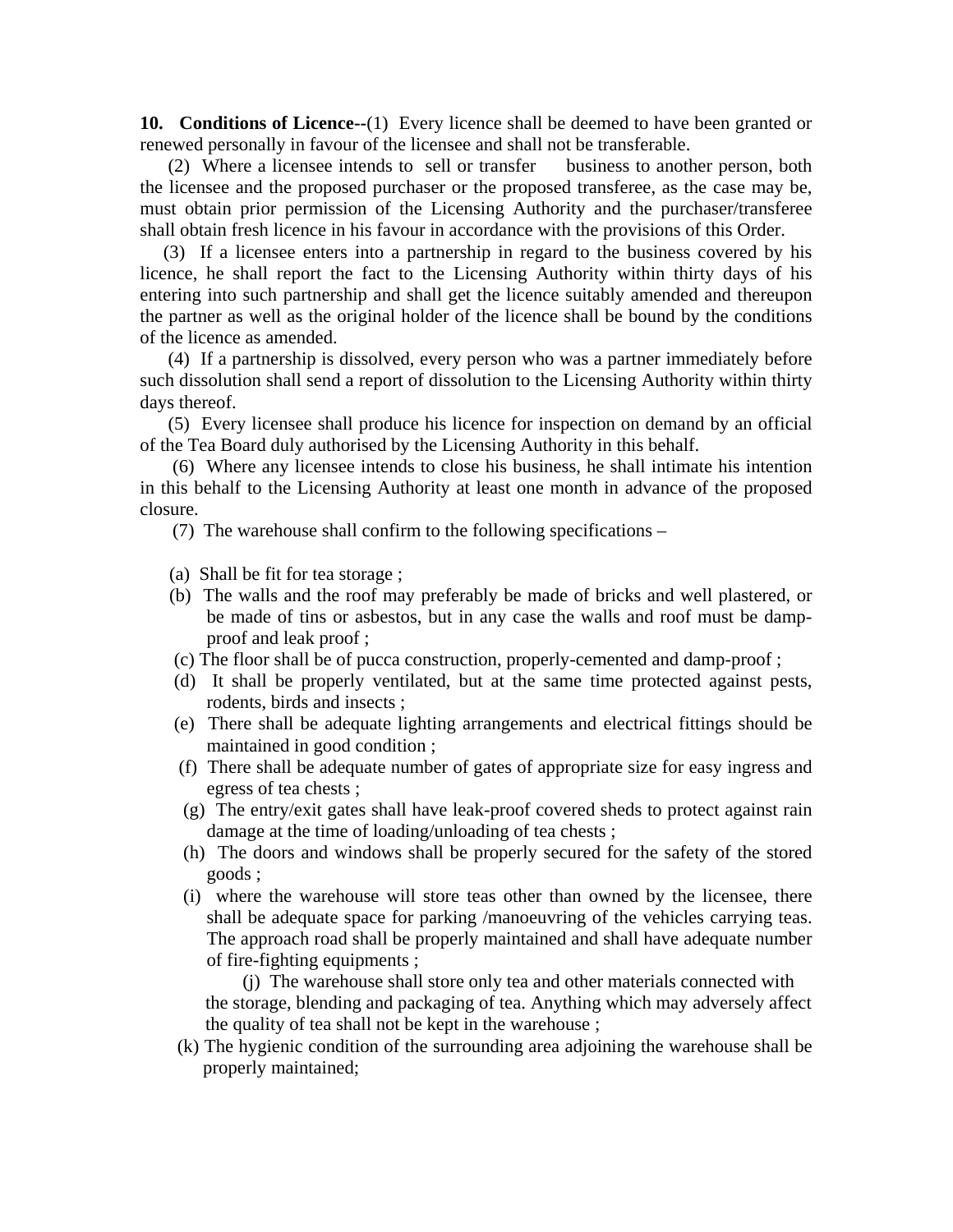**10. Conditions of Licence--**(1) Every licence shall be deemed to have been granted or renewed personally in favour of the licensee and shall not be transferable.

 (2) Where a licensee intends to sell or transfer business to another person, both the licensee and the proposed purchaser or the proposed transferee, as the case may be, must obtain prior permission of the Licensing Authority and the purchaser/transferee shall obtain fresh licence in his favour in accordance with the provisions of this Order.

 (3) If a licensee enters into a partnership in regard to the business covered by his licence, he shall report the fact to the Licensing Authority within thirty days of his entering into such partnership and shall get the licence suitably amended and thereupon the partner as well as the original holder of the licence shall be bound by the conditions of the licence as amended.

 (4) If a partnership is dissolved, every person who was a partner immediately before such dissolution shall send a report of dissolution to the Licensing Authority within thirty days thereof.

 (5) Every licensee shall produce his licence for inspection on demand by an official of the Tea Board duly authorised by the Licensing Authority in this behalf.

 (6) Where any licensee intends to close his business, he shall intimate his intention in this behalf to the Licensing Authority at least one month in advance of the proposed closure.

(7) The warehouse shall confirm to the following specifications –

- (a) Shall be fit for tea storage ;
- (b) The walls and the roof may preferably be made of bricks and well plastered, or be made of tins or asbestos, but in any case the walls and roof must be dampproof and leak proof ;
- (c) The floor shall be of pucca construction, properly-cemented and damp-proof ;
- (d) It shall be properly ventilated, but at the same time protected against pests, rodents, birds and insects ;
- (e) There shall be adequate lighting arrangements and electrical fittings should be maintained in good condition ;
- (f) There shall be adequate number of gates of appropriate size for easy ingress and egress of tea chests ;
- (g) The entry/exit gates shall have leak-proof covered sheds to protect against rain damage at the time of loading/unloading of tea chests ;
- (h) The doors and windows shall be properly secured for the safety of the stored goods ;
- (i) where the warehouse will store teas other than owned by the licensee, there shall be adequate space for parking /manoeuvring of the vehicles carrying teas. The approach road shall be properly maintained and shall have adequate number of fire-fighting equipments ;

 (j) The warehouse shall store only tea and other materials connected with the storage, blending and packaging of tea. Anything which may adversely affect the quality of tea shall not be kept in the warehouse ;

 (k) The hygienic condition of the surrounding area adjoining the warehouse shall be properly maintained;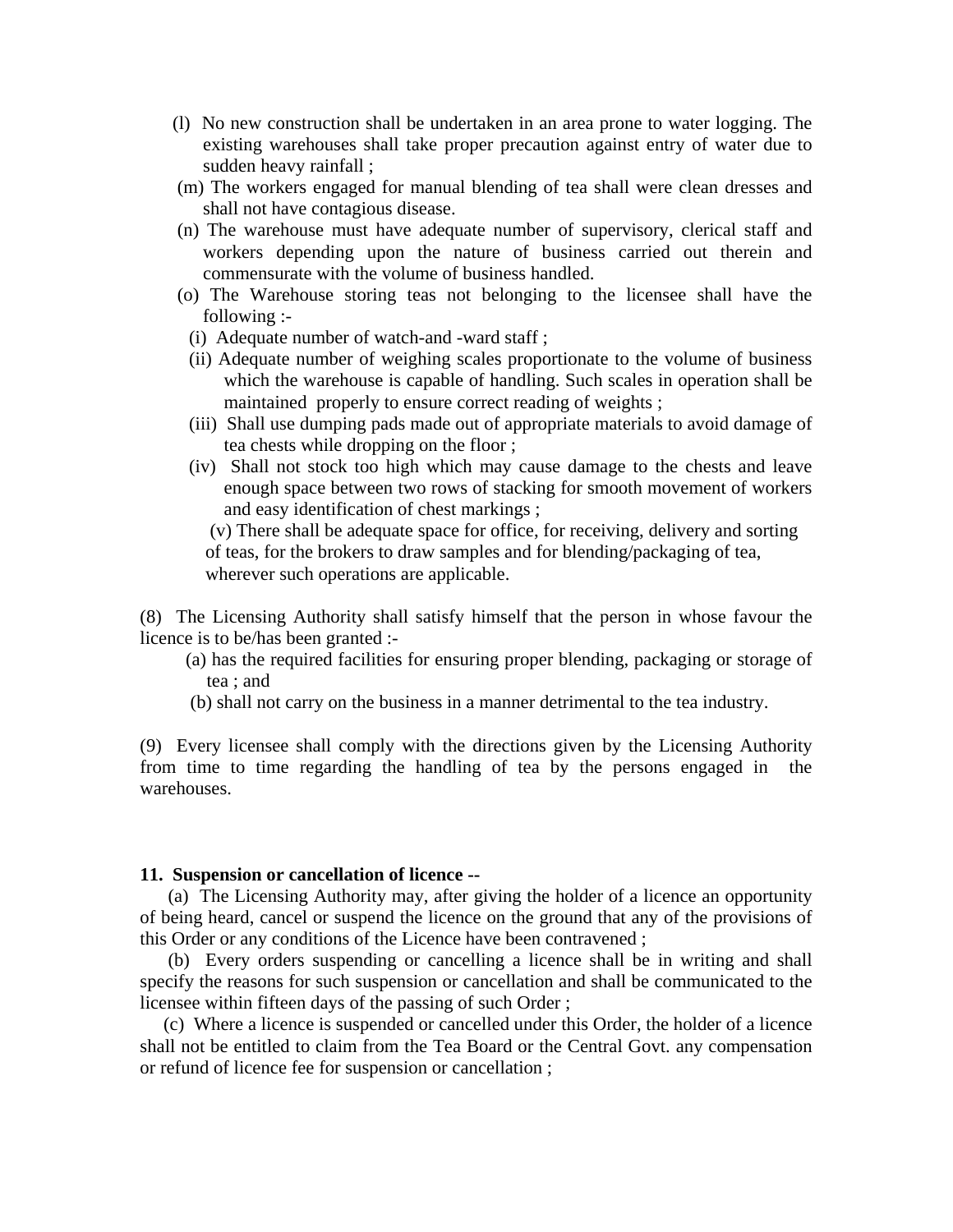- (l) No new construction shall be undertaken in an area prone to water logging. The existing warehouses shall take proper precaution against entry of water due to sudden heavy rainfall ;
- (m) The workers engaged for manual blending of tea shall were clean dresses and shall not have contagious disease.
- (n) The warehouse must have adequate number of supervisory, clerical staff and workers depending upon the nature of business carried out therein and commensurate with the volume of business handled.
- (o) The Warehouse storing teas not belonging to the licensee shall have the following :-
	- (i) Adequate number of watch-and -ward staff ;
- (ii) Adequate number of weighing scales proportionate to the volume of business which the warehouse is capable of handling. Such scales in operation shall be maintained properly to ensure correct reading of weights ;
- (iii) Shall use dumping pads made out of appropriate materials to avoid damage of tea chests while dropping on the floor ;
- (iv) Shall not stock too high which may cause damage to the chests and leave enough space between two rows of stacking for smooth movement of workers and easy identification of chest markings ;

 (v) There shall be adequate space for office, for receiving, delivery and sorting of teas, for the brokers to draw samples and for blending/packaging of tea, wherever such operations are applicable.

(8) The Licensing Authority shall satisfy himself that the person in whose favour the licence is to be/has been granted :-

- (a) has the required facilities for ensuring proper blending, packaging or storage of tea ; and
- (b) shall not carry on the business in a manner detrimental to the tea industry.

(9) Every licensee shall comply with the directions given by the Licensing Authority from time to time regarding the handling of tea by the persons engaged in the warehouses.

## **11. Suspension or cancellation of licence --**

(a) The Licensing Authority may, after giving the holder of a licence an opportunity of being heard, cancel or suspend the licence on the ground that any of the provisions of this Order or any conditions of the Licence have been contravened ;

 (b) Every orders suspending or cancelling a licence shall be in writing and shall specify the reasons for such suspension or cancellation and shall be communicated to the licensee within fifteen days of the passing of such Order ;

 (c) Where a licence is suspended or cancelled under this Order, the holder of a licence shall not be entitled to claim from the Tea Board or the Central Govt. any compensation or refund of licence fee for suspension or cancellation ;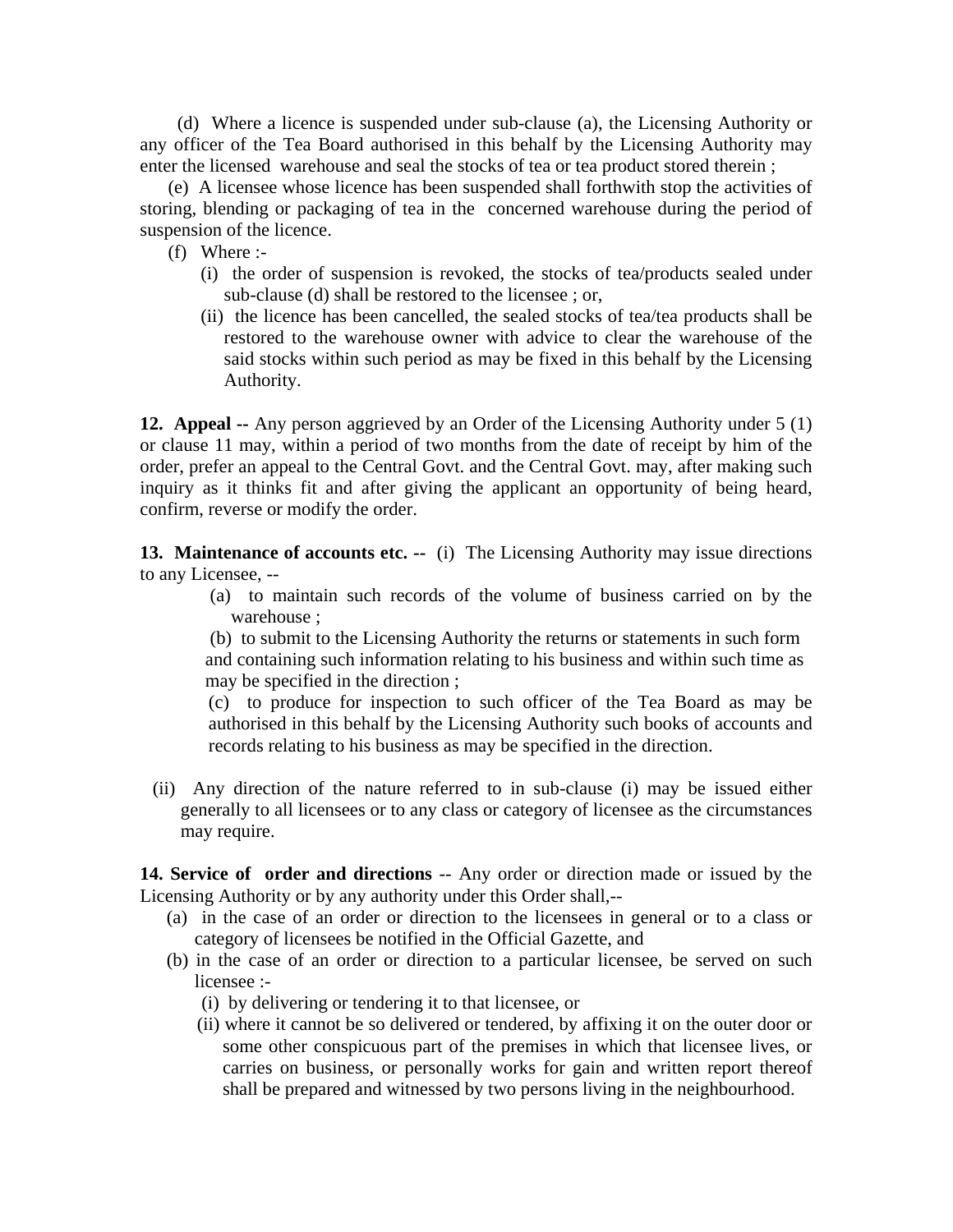(d) Where a licence is suspended under sub-clause (a), the Licensing Authority or any officer of the Tea Board authorised in this behalf by the Licensing Authority may enter the licensed warehouse and seal the stocks of tea or tea product stored therein ;

 (e) A licensee whose licence has been suspended shall forthwith stop the activities of storing, blending or packaging of tea in the concerned warehouse during the period of suspension of the licence.

(f) Where :-

- (i) the order of suspension is revoked, the stocks of tea/products sealed under sub-clause (d) shall be restored to the licensee ; or,
- (ii) the licence has been cancelled, the sealed stocks of tea/tea products shall be restored to the warehouse owner with advice to clear the warehouse of the said stocks within such period as may be fixed in this behalf by the Licensing Authority.

**12. Appeal --** Any person aggrieved by an Order of the Licensing Authority under 5 (1) or clause 11 may, within a period of two months from the date of receipt by him of the order, prefer an appeal to the Central Govt. and the Central Govt. may, after making such inquiry as it thinks fit and after giving the applicant an opportunity of being heard, confirm, reverse or modify the order.

**13. Maintenance of accounts etc. --** (i) The Licensing Authority may issue directions to any Licensee, --

> (a) to maintain such records of the volume of business carried on by the warehouse ;

 (b) to submit to the Licensing Authority the returns or statements in such form and containing such information relating to his business and within such time as may be specified in the direction ;

 (c) to produce for inspection to such officer of the Tea Board as may be authorised in this behalf by the Licensing Authority such books of accounts and records relating to his business as may be specified in the direction.

(ii) Any direction of the nature referred to in sub-clause (i) may be issued either generally to all licensees or to any class or category of licensee as the circumstances may require.

**14. Service of order and directions** -- Any order or direction made or issued by the Licensing Authority or by any authority under this Order shall,--

- (a) in the case of an order or direction to the licensees in general or to a class or category of licensees be notified in the Official Gazette, and
- (b) in the case of an order or direction to a particular licensee, be served on such licensee :-
	- (i) by delivering or tendering it to that licensee, or
	- (ii) where it cannot be so delivered or tendered, by affixing it on the outer door or some other conspicuous part of the premises in which that licensee lives, or carries on business, or personally works for gain and written report thereof shall be prepared and witnessed by two persons living in the neighbourhood.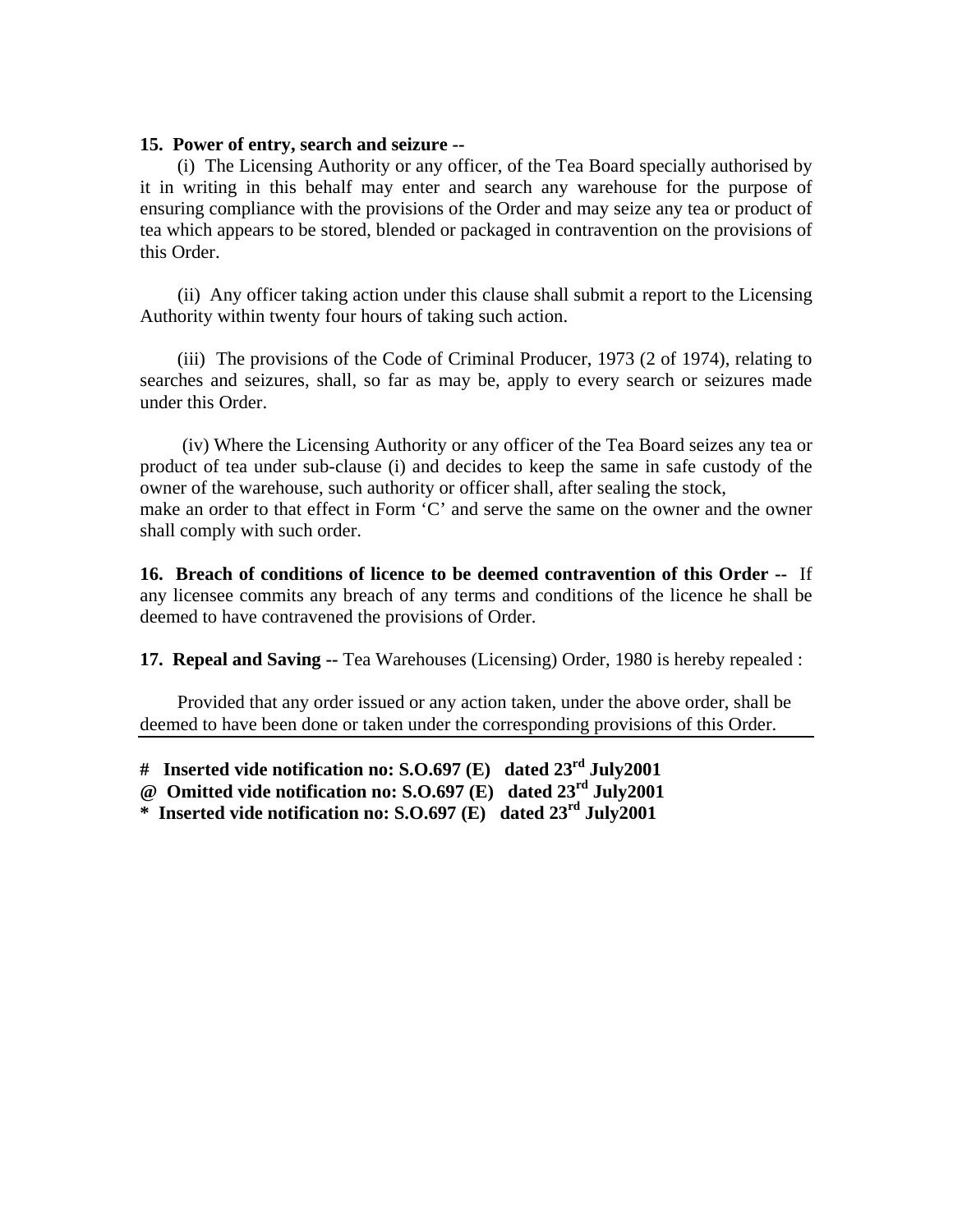## **15. Power of entry, search and seizure --**

 (i) The Licensing Authority or any officer, of the Tea Board specially authorised by it in writing in this behalf may enter and search any warehouse for the purpose of ensuring compliance with the provisions of the Order and may seize any tea or product of tea which appears to be stored, blended or packaged in contravention on the provisions of this Order.

 (ii) Any officer taking action under this clause shall submit a report to the Licensing Authority within twenty four hours of taking such action.

 (iii) The provisions of the Code of Criminal Producer, 1973 (2 of 1974), relating to searches and seizures, shall, so far as may be, apply to every search or seizures made under this Order.

 (iv) Where the Licensing Authority or any officer of the Tea Board seizes any tea or product of tea under sub-clause (i) and decides to keep the same in safe custody of the owner of the warehouse, such authority or officer shall, after sealing the stock, make an order to that effect in Form 'C' and serve the same on the owner and the owner shall comply with such order.

**16. Breach of conditions of licence to be deemed contravention of this Order --** If any licensee commits any breach of any terms and conditions of the licence he shall be deemed to have contravened the provisions of Order.

**17. Repeal and Saving --** Tea Warehouses (Licensing) Order, 1980 is hereby repealed :

 Provided that any order issued or any action taken, under the above order, shall be deemed to have been done or taken under the corresponding provisions of this Order.

**\* Inserted vide notification no: S.O.697 (E) dated 23rd July2001** 

**<sup>#</sup> Inserted vide notification no: S.O.697 (E) dated 23rd July2001** 

**<sup>@</sup> Omitted vide notification no: S.O.697 (E) dated 23rd July2001**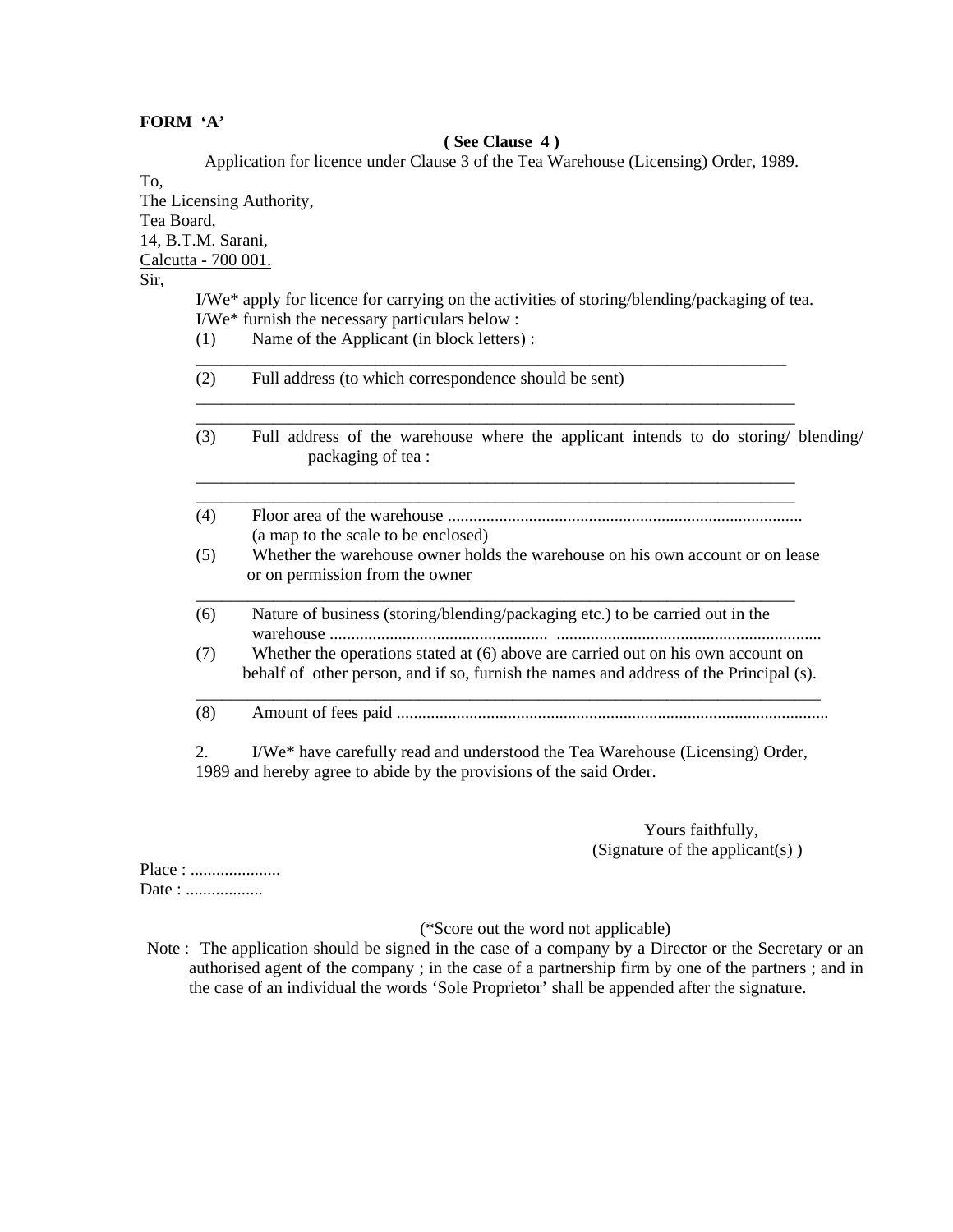### **FORM 'A'**

#### **( See Clause 4 )**

Application for licence under Clause 3 of the Tea Warehouse (Licensing) Order, 1989.

To,

The Licensing Authority, Tea Board, 14, B.T.M. Sarani, Calcutta - 700 001.

Sir,

 I/We\* apply for licence for carrying on the activities of storing/blending/packaging of tea. I/We\* furnish the necessary particulars below :

(1) Name of the Applicant (in block letters) :

| (2) | Full address (to which correspondence should be sent) |  |
|-----|-------------------------------------------------------|--|
|-----|-------------------------------------------------------|--|

\_\_\_\_\_\_\_\_\_\_\_\_\_\_\_\_\_\_\_\_\_\_\_\_\_\_\_\_\_\_\_\_\_\_\_\_\_\_\_\_\_\_\_\_\_\_\_\_\_\_\_\_\_\_\_\_\_\_\_\_\_\_\_\_\_\_\_\_\_

 \_\_\_\_\_\_\_\_\_\_\_\_\_\_\_\_\_\_\_\_\_\_\_\_\_\_\_\_\_\_\_\_\_\_\_\_\_\_\_\_\_\_\_\_\_\_\_\_\_\_\_\_\_\_\_\_\_\_\_\_\_\_\_\_\_\_\_\_\_\_ \_\_\_\_\_\_\_\_\_\_\_\_\_\_\_\_\_\_\_\_\_\_\_\_\_\_\_\_\_\_\_\_\_\_\_\_\_\_\_\_\_\_\_\_\_\_\_\_\_\_\_\_\_\_\_\_\_\_\_\_\_\_\_\_\_\_\_\_\_\_

 \_\_\_\_\_\_\_\_\_\_\_\_\_\_\_\_\_\_\_\_\_\_\_\_\_\_\_\_\_\_\_\_\_\_\_\_\_\_\_\_\_\_\_\_\_\_\_\_\_\_\_\_\_\_\_\_\_\_\_\_\_\_\_\_\_\_\_\_\_\_ \_\_\_\_\_\_\_\_\_\_\_\_\_\_\_\_\_\_\_\_\_\_\_\_\_\_\_\_\_\_\_\_\_\_\_\_\_\_\_\_\_\_\_\_\_\_\_\_\_\_\_\_\_\_\_\_\_\_\_\_\_\_\_\_\_\_\_\_\_\_

- (3) Full address of the warehouse where the applicant intends to do storing/ blending/ packaging of tea :
- (4) Floor area of the warehouse ................................................................................... (a map to the scale to be enclosed) (5) Whether the warehouse owner holds the warehouse on his own account or on lease or on permission from the owner
- \_\_\_\_\_\_\_\_\_\_\_\_\_\_\_\_\_\_\_\_\_\_\_\_\_\_\_\_\_\_\_\_\_\_\_\_\_\_\_\_\_\_\_\_\_\_\_\_\_\_\_\_\_\_\_\_\_\_\_\_\_\_\_\_\_\_\_\_\_\_ (6) Nature of business (storing/blending/packaging etc.) to be carried out in the warehouse ................................................... ..............................................................
	- (7) Whether the operations stated at (6) above are carried out on his own account on behalf of other person, and if so, furnish the names and address of the Principal (s).
- \_\_\_\_\_\_\_\_\_\_\_\_\_\_\_\_\_\_\_\_\_\_\_\_\_\_\_\_\_\_\_\_\_\_\_\_\_\_\_\_\_\_\_\_\_\_\_\_\_\_\_\_\_\_\_\_\_\_\_\_\_\_\_\_\_\_\_\_\_\_\_\_\_ (8) Amount of fees paid .....................................................................................................

 2. I/We\* have carefully read and understood the Tea Warehouse (Licensing) Order, 1989 and hereby agree to abide by the provisions of the said Order.

> Yours faithfully, (Signature of the applicant(s) )

Place : ..................... Date : ...................

#### (\*Score out the word not applicable)

Note : The application should be signed in the case of a company by a Director or the Secretary or an authorised agent of the company ; in the case of a partnership firm by one of the partners ; and in the case of an individual the words 'Sole Proprietor' shall be appended after the signature.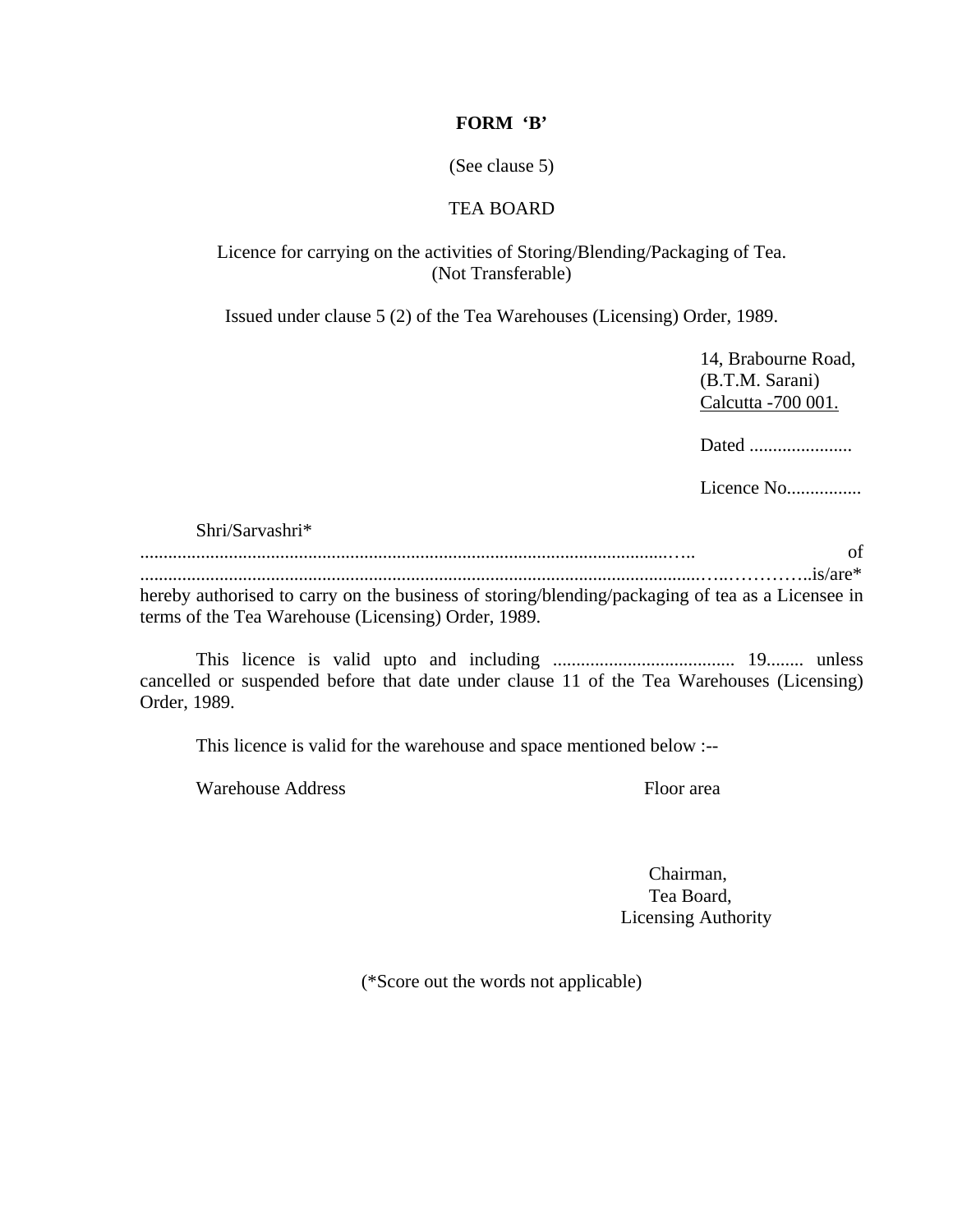## **FORM 'B'**

(See clause 5)

# TEA BOARD

# Licence for carrying on the activities of Storing/Blending/Packaging of Tea. (Not Transferable)

Issued under clause 5 (2) of the Tea Warehouses (Licensing) Order, 1989.

 14, Brabourne Road, (B.T.M. Sarani) Calcutta -700 001.

Dated ......................

Licence No................

### Shri/Sarvashri\*

|                                                                                                  | of |
|--------------------------------------------------------------------------------------------------|----|
|                                                                                                  |    |
| hereby authorised to carry on the business of storing/blending/packaging of tea as a Licensee in |    |
| terms of the Tea Warehouse (Licensing) Order, 1989.                                              |    |

 This licence is valid upto and including ....................................... 19........ unless cancelled or suspended before that date under clause 11 of the Tea Warehouses (Licensing) Order, 1989.

This licence is valid for the warehouse and space mentioned below :--

Warehouse Address Floor area

 Chairman, Tea Board, Licensing Authority

(\*Score out the words not applicable)